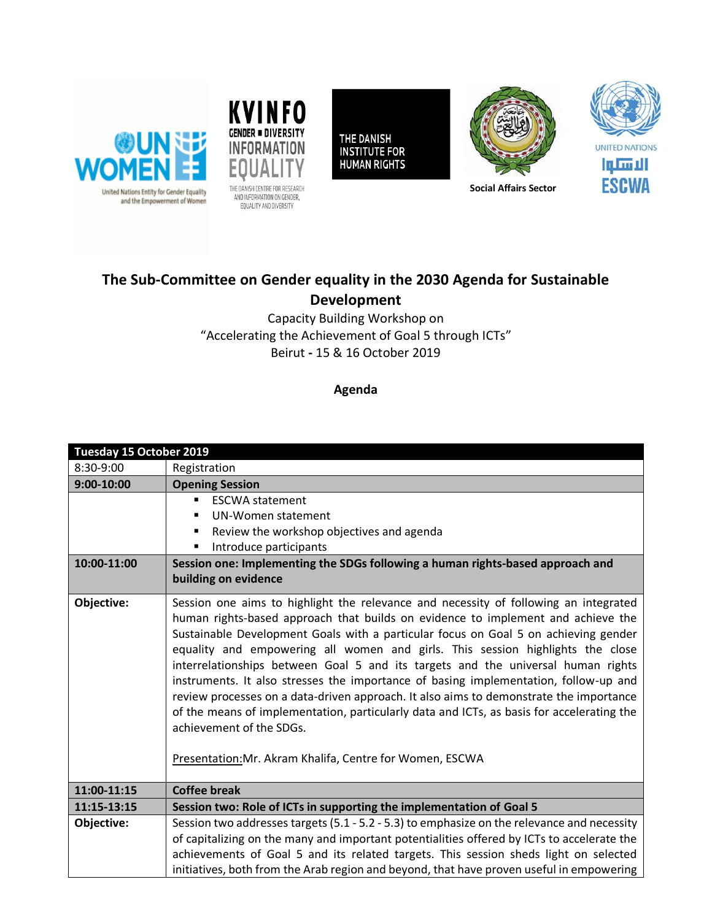



EQUALITY AND DIVERSITY

THE DANISH **INSTITUTE FOR HUMAN RIGHTS** 





**Social Affairs Sector**

## **The Sub-Committee on Gender equality in the 2030 Agenda for Sustainable Development**

Capacity Building Workshop on "Accelerating the Achievement of Goal 5 through ICTs" Beirut **-** 15 & 16 October 2019

## **Agenda**

| Tuesday 15 October 2019 |                                                                                                                                                                                                                                                                                                                                                                                                                                                                                                                                                                                                                                                                                                                                                                                                              |
|-------------------------|--------------------------------------------------------------------------------------------------------------------------------------------------------------------------------------------------------------------------------------------------------------------------------------------------------------------------------------------------------------------------------------------------------------------------------------------------------------------------------------------------------------------------------------------------------------------------------------------------------------------------------------------------------------------------------------------------------------------------------------------------------------------------------------------------------------|
| 8:30-9:00               | Registration                                                                                                                                                                                                                                                                                                                                                                                                                                                                                                                                                                                                                                                                                                                                                                                                 |
| $9:00-10:00$            | <b>Opening Session</b>                                                                                                                                                                                                                                                                                                                                                                                                                                                                                                                                                                                                                                                                                                                                                                                       |
|                         | <b>ESCWA statement</b><br>$\blacksquare$                                                                                                                                                                                                                                                                                                                                                                                                                                                                                                                                                                                                                                                                                                                                                                     |
|                         | UN-Women statement                                                                                                                                                                                                                                                                                                                                                                                                                                                                                                                                                                                                                                                                                                                                                                                           |
|                         | Review the workshop objectives and agenda                                                                                                                                                                                                                                                                                                                                                                                                                                                                                                                                                                                                                                                                                                                                                                    |
|                         | Introduce participants                                                                                                                                                                                                                                                                                                                                                                                                                                                                                                                                                                                                                                                                                                                                                                                       |
| 10:00-11:00             | Session one: Implementing the SDGs following a human rights-based approach and                                                                                                                                                                                                                                                                                                                                                                                                                                                                                                                                                                                                                                                                                                                               |
|                         | building on evidence                                                                                                                                                                                                                                                                                                                                                                                                                                                                                                                                                                                                                                                                                                                                                                                         |
|                         |                                                                                                                                                                                                                                                                                                                                                                                                                                                                                                                                                                                                                                                                                                                                                                                                              |
| Objective:              | Session one aims to highlight the relevance and necessity of following an integrated<br>human rights-based approach that builds on evidence to implement and achieve the<br>Sustainable Development Goals with a particular focus on Goal 5 on achieving gender<br>equality and empowering all women and girls. This session highlights the close<br>interrelationships between Goal 5 and its targets and the universal human rights<br>instruments. It also stresses the importance of basing implementation, follow-up and<br>review processes on a data-driven approach. It also aims to demonstrate the importance<br>of the means of implementation, particularly data and ICTs, as basis for accelerating the<br>achievement of the SDGs.<br>Presentation: Mr. Akram Khalifa, Centre for Women, ESCWA |
| 11:00-11:15             | <b>Coffee break</b>                                                                                                                                                                                                                                                                                                                                                                                                                                                                                                                                                                                                                                                                                                                                                                                          |
| 11:15-13:15             | Session two: Role of ICTs in supporting the implementation of Goal 5                                                                                                                                                                                                                                                                                                                                                                                                                                                                                                                                                                                                                                                                                                                                         |
| Objective:              | Session two addresses targets (5.1 - 5.2 - 5.3) to emphasize on the relevance and necessity                                                                                                                                                                                                                                                                                                                                                                                                                                                                                                                                                                                                                                                                                                                  |
|                         | of capitalizing on the many and important potentialities offered by ICTs to accelerate the                                                                                                                                                                                                                                                                                                                                                                                                                                                                                                                                                                                                                                                                                                                   |
|                         | achievements of Goal 5 and its related targets. This session sheds light on selected                                                                                                                                                                                                                                                                                                                                                                                                                                                                                                                                                                                                                                                                                                                         |
|                         | initiatives, both from the Arab region and beyond, that have proven useful in empowering                                                                                                                                                                                                                                                                                                                                                                                                                                                                                                                                                                                                                                                                                                                     |